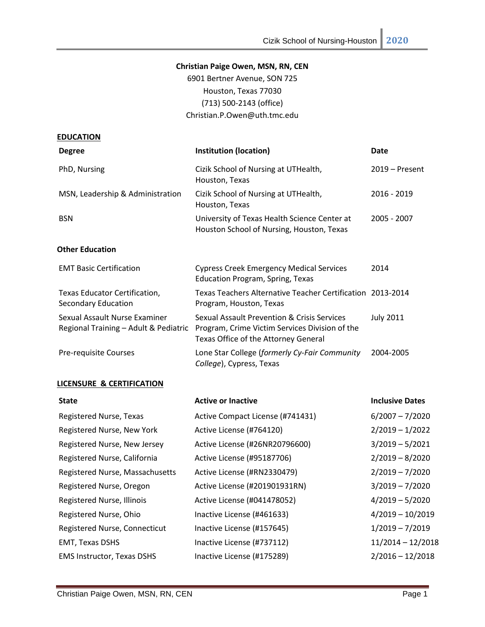### **Christian Paige Owen, MSN, RN, CEN**

6901 Bertner Avenue, SON 725 Houston, Texas 77030 (713) 500-2143 (office) Christian.P.Owen@uth.tmc.edu

| <b>EDUCATION</b>                                                       |                                                                                                                                       |                  |
|------------------------------------------------------------------------|---------------------------------------------------------------------------------------------------------------------------------------|------------------|
| <b>Degree</b>                                                          | <b>Institution (location)</b>                                                                                                         | Date             |
| PhD, Nursing                                                           | Cizik School of Nursing at UTHealth,<br>Houston, Texas                                                                                | $2019 -$ Present |
| MSN, Leadership & Administration                                       | Cizik School of Nursing at UTHealth,<br>Houston, Texas                                                                                | 2016 - 2019      |
| <b>BSN</b>                                                             | University of Texas Health Science Center at<br>Houston School of Nursing, Houston, Texas                                             | 2005 - 2007      |
| <b>Other Education</b>                                                 |                                                                                                                                       |                  |
| <b>EMT Basic Certification</b>                                         | <b>Cypress Creek Emergency Medical Services</b><br><b>Education Program, Spring, Texas</b>                                            | 2014             |
| Texas Educator Certification,<br>Secondary Education                   | Texas Teachers Alternative Teacher Certification 2013-2014<br>Program, Houston, Texas                                                 |                  |
| Sexual Assault Nurse Examiner<br>Regional Training - Adult & Pediatric | Sexual Assault Prevention & Crisis Services<br>Program, Crime Victim Services Division of the<br>Texas Office of the Attorney General | <b>July 2011</b> |
| Pre-requisite Courses                                                  | Lone Star College (formerly Cy-Fair Community<br>College), Cypress, Texas                                                             | 2004-2005        |
| LICENSURE & CERTIFICATION                                              |                                                                                                                                       |                  |

| <b>State</b>                      | <b>Active or Inactive</b>        | <b>Inclusive Dates</b> |
|-----------------------------------|----------------------------------|------------------------|
| Registered Nurse, Texas           | Active Compact License (#741431) | $6/2007 - 7/2020$      |
| Registered Nurse, New York        | Active License (#764120)         | $2/2019 - 1/2022$      |
| Registered Nurse, New Jersey      | Active License (#26NR20796600)   | $3/2019 - 5/2021$      |
| Registered Nurse, California      | Active License (#95187706)       | $2/2019 - 8/2020$      |
| Registered Nurse, Massachusetts   | Active License (#RN2330479)      | $2/2019 - 7/2020$      |
| Registered Nurse, Oregon          | Active License (#201901931RN)    | $3/2019 - 7/2020$      |
| Registered Nurse, Illinois        | Active License (#041478052)      | $4/2019 - 5/2020$      |
| Registered Nurse, Ohio            | Inactive License (#461633)       | $4/2019 - 10/2019$     |
| Registered Nurse, Connecticut     | Inactive License (#157645)       | $1/2019 - 7/2019$      |
| <b>EMT, Texas DSHS</b>            | Inactive License (#737112)       | $11/2014 - 12/2018$    |
| <b>EMS Instructor, Texas DSHS</b> | Inactive License (#175289)       | $2/2016 - 12/2018$     |
|                                   |                                  |                        |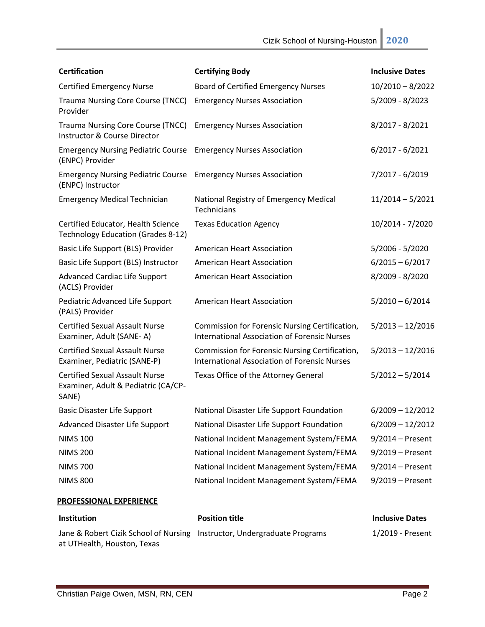| <b>Certification</b>                                                                  | <b>Certifying Body</b>                                                                                | <b>Inclusive Dates</b> |
|---------------------------------------------------------------------------------------|-------------------------------------------------------------------------------------------------------|------------------------|
| <b>Certified Emergency Nurse</b>                                                      | <b>Board of Certified Emergency Nurses</b>                                                            | $10/2010 - 8/2022$     |
| <b>Trauma Nursing Core Course (TNCC)</b><br>Provider                                  | <b>Emergency Nurses Association</b>                                                                   | 5/2009 - 8/2023        |
| <b>Trauma Nursing Core Course (TNCC)</b><br>Instructor & Course Director              | <b>Emergency Nurses Association</b>                                                                   | 8/2017 - 8/2021        |
| <b>Emergency Nursing Pediatric Course</b><br>(ENPC) Provider                          | <b>Emergency Nurses Association</b>                                                                   | $6/2017 - 6/2021$      |
| <b>Emergency Nursing Pediatric Course</b><br>(ENPC) Instructor                        | <b>Emergency Nurses Association</b>                                                                   | 7/2017 - 6/2019        |
| <b>Emergency Medical Technician</b>                                                   | National Registry of Emergency Medical<br>Technicians                                                 | $11/2014 - 5/2021$     |
| Certified Educator, Health Science<br>Technology Education (Grades 8-12)              | <b>Texas Education Agency</b>                                                                         | 10/2014 - 7/2020       |
| Basic Life Support (BLS) Provider                                                     | <b>American Heart Association</b>                                                                     | $5/2006 - 5/2020$      |
| Basic Life Support (BLS) Instructor                                                   | <b>American Heart Association</b>                                                                     | $6/2015 - 6/2017$      |
| <b>Advanced Cardiac Life Support</b><br>(ACLS) Provider                               | <b>American Heart Association</b>                                                                     | 8/2009 - 8/2020        |
| Pediatric Advanced Life Support<br>(PALS) Provider                                    | <b>American Heart Association</b>                                                                     | $5/2010 - 6/2014$      |
| <b>Certified Sexual Assault Nurse</b><br>Examiner, Adult (SANE-A)                     | Commission for Forensic Nursing Certification,<br><b>International Association of Forensic Nurses</b> | $5/2013 - 12/2016$     |
| <b>Certified Sexual Assault Nurse</b><br>Examiner, Pediatric (SANE-P)                 | Commission for Forensic Nursing Certification,<br><b>International Association of Forensic Nurses</b> | $5/2013 - 12/2016$     |
| <b>Certified Sexual Assault Nurse</b><br>Examiner, Adult & Pediatric (CA/CP-<br>SANE) | Texas Office of the Attorney General                                                                  | $5/2012 - 5/2014$      |
| <b>Basic Disaster Life Support</b>                                                    | National Disaster Life Support Foundation                                                             | $6/2009 - 12/2012$     |
| <b>Advanced Disaster Life Support</b>                                                 | National Disaster Life Support Foundation                                                             | $6/2009 - 12/2012$     |
| <b>NIMS 100</b>                                                                       | National Incident Management System/FEMA                                                              | $9/2014$ – Present     |
| <b>NIMS 200</b>                                                                       | National Incident Management System/FEMA                                                              | $9/2019$ – Present     |
| <b>NIMS 700</b>                                                                       | National Incident Management System/FEMA                                                              | $9/2014$ – Present     |
| <b>NIMS 800</b>                                                                       | National Incident Management System/FEMA                                                              | $9/2019$ – Present     |
| <b>PROFESSIONAL EXPERIENCE</b>                                                        |                                                                                                       |                        |

| <b>Institution</b>                                                       | <b>Position title</b> | <b>Inclusive Dates</b> |
|--------------------------------------------------------------------------|-----------------------|------------------------|
| Jane & Robert Cizik School of Nursing Instructor, Undergraduate Programs |                       | 1/2019 - Present       |
| at UTHealth, Houston, Texas                                              |                       |                        |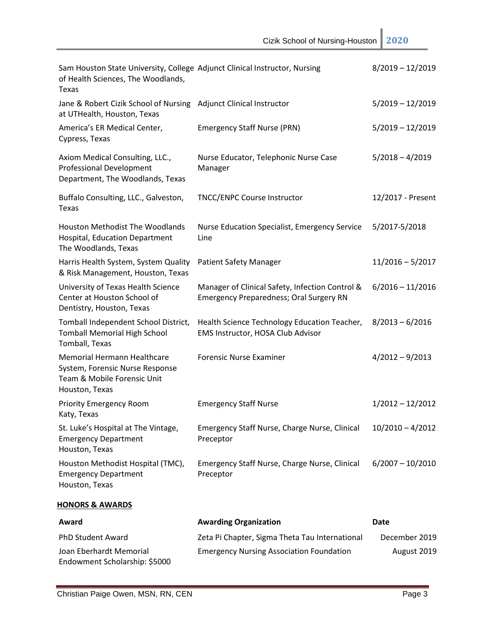| Sam Houston State University, College Adjunct Clinical Instructor, Nursing<br>of Health Sciences, The Woodlands,<br>Texas |                                                                                                   | $8/2019 - 12/2019$ |
|---------------------------------------------------------------------------------------------------------------------------|---------------------------------------------------------------------------------------------------|--------------------|
| Jane & Robert Cizik School of Nursing Adjunct Clinical Instructor<br>at UTHealth, Houston, Texas                          |                                                                                                   | $5/2019 - 12/2019$ |
| America's ER Medical Center,<br>Cypress, Texas                                                                            | <b>Emergency Staff Nurse (PRN)</b>                                                                | $5/2019 - 12/2019$ |
| Axiom Medical Consulting, LLC.,<br><b>Professional Development</b><br>Department, The Woodlands, Texas                    | Nurse Educator, Telephonic Nurse Case<br>Manager                                                  | $5/2018 - 4/2019$  |
| Buffalo Consulting, LLC., Galveston,<br>Texas                                                                             | <b>TNCC/ENPC Course Instructor</b>                                                                | 12/2017 - Present  |
| <b>Houston Methodist The Woodlands</b><br>Hospital, Education Department<br>The Woodlands, Texas                          | <b>Nurse Education Specialist, Emergency Service</b><br>Line                                      | 5/2017-5/2018      |
| Harris Health System, System Quality<br>& Risk Management, Houston, Texas                                                 | <b>Patient Safety Manager</b>                                                                     | $11/2016 - 5/2017$ |
| University of Texas Health Science<br>Center at Houston School of<br>Dentistry, Houston, Texas                            | Manager of Clinical Safety, Infection Control &<br><b>Emergency Preparedness; Oral Surgery RN</b> | $6/2016 - 11/2016$ |
| Tomball Independent School District,<br><b>Tomball Memorial High School</b><br>Tomball, Texas                             | Health Science Technology Education Teacher,<br>EMS Instructor, HOSA Club Advisor                 | $8/2013 - 6/2016$  |
| Memorial Hermann Healthcare<br>System, Forensic Nurse Response<br>Team & Mobile Forensic Unit<br>Houston, Texas           | <b>Forensic Nurse Examiner</b>                                                                    | $4/2012 - 9/2013$  |
| <b>Priority Emergency Room</b><br>Katy, Texas                                                                             | <b>Emergency Staff Nurse</b>                                                                      | $1/2012 - 12/2012$ |
| St. Luke's Hospital at The Vintage,<br><b>Emergency Department</b><br>Houston, Texas                                      | Emergency Staff Nurse, Charge Nurse, Clinical<br>Preceptor                                        | $10/2010 - 4/2012$ |
| Houston Methodist Hospital (TMC),<br><b>Emergency Department</b><br>Houston, Texas                                        | Emergency Staff Nurse, Charge Nurse, Clinical<br>Preceptor                                        | $6/2007 - 10/2010$ |
| <b>HONORS &amp; AWARDS</b>                                                                                                |                                                                                                   |                    |
| Award                                                                                                                     | <b>Awarding Organization</b>                                                                      | Date               |
| PhD Student Award                                                                                                         | Zeta Pi Chapter, Sigma Theta Tau International                                                    | December 2019      |
| Joan Eberhardt Memorial                                                                                                   | <b>Emergency Nursing Association Foundation</b>                                                   | August 2019        |

Endowment Scholarship: \$5000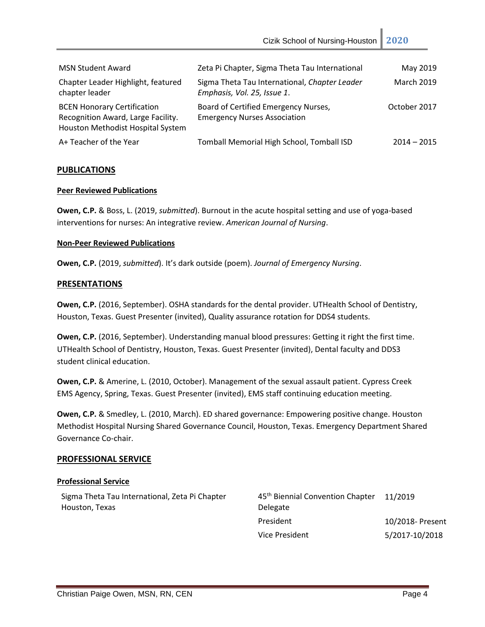| <b>MSN Student Award</b>                                                                                      | Zeta Pi Chapter, Sigma Theta Tau International                               | May 2019          |
|---------------------------------------------------------------------------------------------------------------|------------------------------------------------------------------------------|-------------------|
| Chapter Leader Highlight, featured<br>chapter leader                                                          | Sigma Theta Tau International, Chapter Leader<br>Emphasis, Vol. 25, Issue 1. | <b>March 2019</b> |
| <b>BCEN Honorary Certification</b><br>Recognition Award, Large Facility.<br>Houston Methodist Hospital System | Board of Certified Emergency Nurses,<br><b>Emergency Nurses Association</b>  | October 2017      |
| A+ Teacher of the Year                                                                                        | Tomball Memorial High School, Tomball ISD                                    | $2014 - 2015$     |

#### **PUBLICATIONS**

#### **Peer Reviewed Publications**

**Owen, C.P.** & Boss, L. (2019, *submitted*). Burnout in the acute hospital setting and use of yoga-based interventions for nurses: An integrative review. *American Journal of Nursing*.

#### **Non-Peer Reviewed Publications**

**Owen, C.P.** (2019, *submitted*). It's dark outside (poem). *Journal of Emergency Nursing*.

#### **PRESENTATIONS**

**Owen, C.P.** (2016, September). OSHA standards for the dental provider. UTHealth School of Dentistry, Houston, Texas. Guest Presenter (invited), Quality assurance rotation for DDS4 students.

**Owen, C.P.** (2016, September). Understanding manual blood pressures: Getting it right the first time. UTHealth School of Dentistry, Houston, Texas. Guest Presenter (invited), Dental faculty and DDS3 student clinical education.

**Owen, C.P.** & Amerine, L. (2010, October). Management of the sexual assault patient. Cypress Creek EMS Agency, Spring, Texas. Guest Presenter (invited), EMS staff continuing education meeting.

**Owen, C.P.** & Smedley, L. (2010, March). ED shared governance: Empowering positive change. Houston Methodist Hospital Nursing Shared Governance Council, Houston, Texas. Emergency Department Shared Governance Co-chair.

#### **PROFESSIONAL SERVICE**

#### **Professional Service**

Sigma Theta Tau International, Zeta Pi Chapter Houston, Texas

| 45 <sup>th</sup> Biennial Convention Chapter 11/2019 |                  |
|------------------------------------------------------|------------------|
| Delegate                                             |                  |
| President                                            | 10/2018- Present |
| Vice President                                       | 5/2017-10/2018   |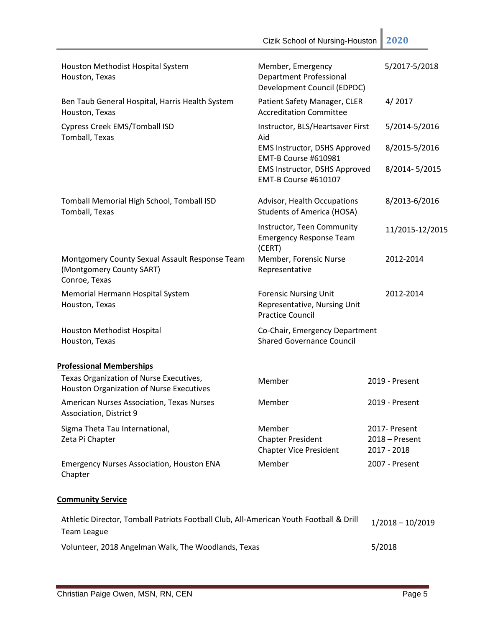|                                                                                                       | Cizik School of Nursing-Houston                                                         | 2020                                             |
|-------------------------------------------------------------------------------------------------------|-----------------------------------------------------------------------------------------|--------------------------------------------------|
| Houston Methodist Hospital System<br>Houston, Texas                                                   | Member, Emergency<br><b>Department Professional</b><br>Development Council (EDPDC)      | 5/2017-5/2018                                    |
| Ben Taub General Hospital, Harris Health System<br>Houston, Texas                                     | Patient Safety Manager, CLER<br><b>Accreditation Committee</b>                          | 4/2017                                           |
| <b>Cypress Creek EMS/Tomball ISD</b>                                                                  | Instructor, BLS/Heartsaver First                                                        | 5/2014-5/2016                                    |
| Tomball, Texas                                                                                        | Aid<br><b>EMS Instructor, DSHS Approved</b>                                             | 8/2015-5/2016                                    |
|                                                                                                       | EMT-B Course #610981<br>EMS Instructor, DSHS Approved<br>EMT-B Course #610107           | 8/2014-5/2015                                    |
| Tomball Memorial High School, Tomball ISD<br>Tomball, Texas                                           | Advisor, Health Occupations<br><b>Students of America (HOSA)</b>                        | 8/2013-6/2016                                    |
|                                                                                                       | Instructor, Teen Community<br><b>Emergency Response Team</b><br>(CERT)                  | 11/2015-12/2015                                  |
| Montgomery County Sexual Assault Response Team<br>(Montgomery County SART)<br>Conroe, Texas           | Member, Forensic Nurse<br>Representative                                                | 2012-2014                                        |
| Memorial Hermann Hospital System<br>Houston, Texas                                                    | <b>Forensic Nursing Unit</b><br>Representative, Nursing Unit<br><b>Practice Council</b> | 2012-2014                                        |
| Houston Methodist Hospital<br>Houston, Texas                                                          | Co-Chair, Emergency Department<br><b>Shared Governance Council</b>                      |                                                  |
| <b>Professional Memberships</b>                                                                       |                                                                                         |                                                  |
| Texas Organization of Nurse Executives,<br>Houston Organization of Nurse Executives                   | Member                                                                                  | 2019 - Present                                   |
| American Nurses Association, Texas Nurses<br>Association, District 9                                  | Member                                                                                  | 2019 - Present                                   |
| Sigma Theta Tau International,<br>Zeta Pi Chapter                                                     | Member<br><b>Chapter President</b><br><b>Chapter Vice President</b>                     | 2017- Present<br>$2018 -$ Present<br>2017 - 2018 |
| <b>Emergency Nurses Association, Houston ENA</b><br>Chapter                                           | Member                                                                                  | 2007 - Present                                   |
| <b>Community Service</b>                                                                              |                                                                                         |                                                  |
| Athletic Director, Tomball Patriots Football Club, All-American Youth Football & Drill<br>Team League |                                                                                         | $1/2018 - 10/2019$                               |

Volunteer, 2018 Angelman Walk, The Woodlands, Texas 5/2018